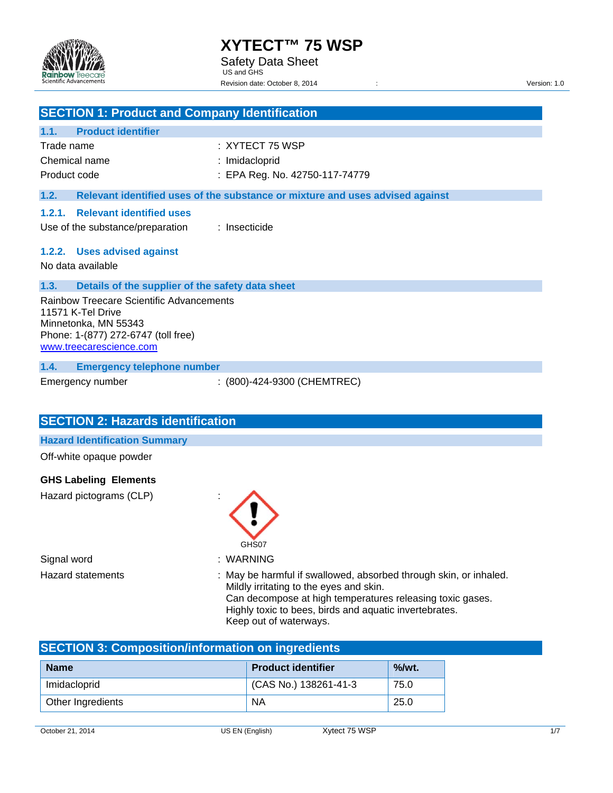

## **SECTION 1: Product and Company Identification**

### **1.1. Product identifier**

| Trade name    | : XYTECT 75 WSP                |
|---------------|--------------------------------|
| Chemical name | : Imidacloprid                 |
| Product code  | : EPA Reg. No. 42750-117-74779 |

#### **1.2. Relevant identified uses of the substance or mixture and uses advised against**

#### **1.2.1. Relevant identified uses**

Use of the substance/preparation : Insecticide

#### **1.2.2. Uses advised against**

No data available

### **1.3. Details of the supplier of the safety data sheet**

Rainbow Treecare Scientific Advancements 11571 K-Tel Drive Minnetonka, MN 55343 Phone: 1-(877) 272-6747 (toll free) www.treecarescience.com

#### **1.4. Emergency telephone number**

Emergency number : (800)-424-9300 (CHEMTREC)

# **SECTION 2: Hazards identification**

**Hazard Identification Summary** 

Off-white opaque powder

### **GHS Labeling Elements**

Hazard pictograms (CLP) :

Signal word in the set of the Signal word in the Signal word in the Signal Muslim of the Signal Muslim of the S



- 
- Hazard statements : May be harmful if swallowed, absorbed through skin, or inhaled. Mildly irritating to the eyes and skin. Can decompose at high temperatures releasing toxic gases. Highly toxic to bees, birds and aquatic invertebrates. Keep out of waterways.

# **SECTION 3: Composition/information on ingredients**

| <b>Name</b>       | <b>Product identifier</b> | $%$ /wt. |
|-------------------|---------------------------|----------|
| Imidacloprid      | (CAS No.) 138261-41-3     | 75.0     |
| Other Ingredients | ΝA                        | 25.0     |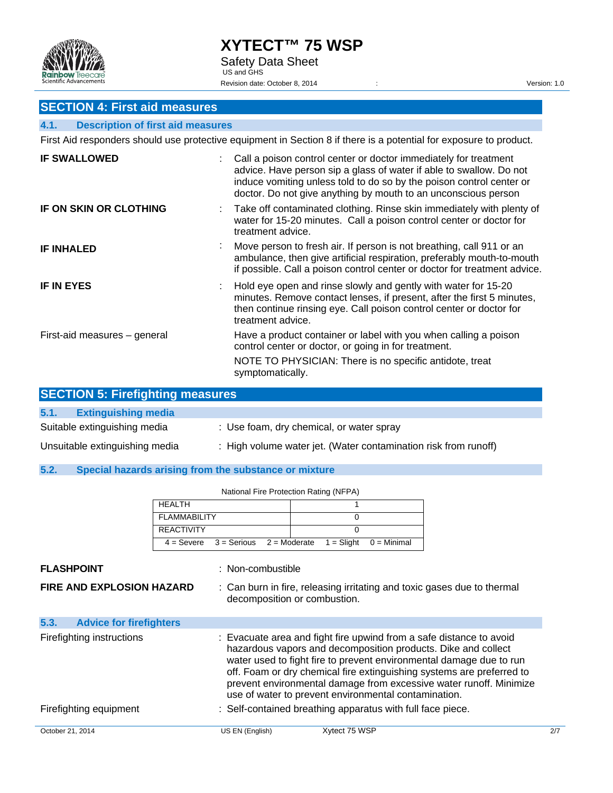

# **SECTION 4: First aid measures**

### **4.1. Description of first aid measures**

First Aid responders should use protective equipment in Section 8 if there is a potential for exposure to product.

| <b>IF SWALLOWED</b>          | Call a poison control center or doctor immediately for treatment<br>advice. Have person sip a glass of water if able to swallow. Do not<br>induce vomiting unless told to do so by the poison control center or<br>doctor. Do not give anything by mouth to an unconscious person |
|------------------------------|-----------------------------------------------------------------------------------------------------------------------------------------------------------------------------------------------------------------------------------------------------------------------------------|
| IF ON SKIN OR CLOTHING       | : Take off contaminated clothing. Rinse skin immediately with plenty of<br>water for 15-20 minutes. Call a poison control center or doctor for<br>treatment advice.                                                                                                               |
| <b>IF INHALED</b>            | Move person to fresh air. If person is not breathing, call 911 or an<br>ambulance, then give artificial respiration, preferably mouth-to-mouth<br>if possible. Call a poison control center or doctor for treatment advice.                                                       |
| <b>IF IN EYES</b>            | Hold eye open and rinse slowly and gently with water for 15-20<br>minutes. Remove contact lenses, if present, after the first 5 minutes,<br>then continue rinsing eye. Call poison control center or doctor for<br>treatment advice.                                              |
| First-aid measures - general | Have a product container or label with you when calling a poison<br>control center or doctor, or going in for treatment.                                                                                                                                                          |
|                              | NOTE TO PHYSICIAN: There is no specific antidote, treat<br>symptomatically.                                                                                                                                                                                                       |

| <b>SECTION 5: Firefighting measures</b> |                                                                 |  |  |
|-----------------------------------------|-----------------------------------------------------------------|--|--|
| 5.1.<br><b>Extinguishing media</b>      |                                                                 |  |  |
| Suitable extinguishing media            | : Use foam, dry chemical, or water spray                        |  |  |
| Unsuitable extinguishing media          | : High volume water jet. (Water contamination risk from runoff) |  |  |

**5.2. Special hazards arising from the substance or mixture** 

National Fire Protection Rating (NFPA)

|                                        | <b>HEALTH</b>       |                   |                                                            |               |                                                                                                                                                                                                                                                                                                                                                            |     |
|----------------------------------------|---------------------|-------------------|------------------------------------------------------------|---------------|------------------------------------------------------------------------------------------------------------------------------------------------------------------------------------------------------------------------------------------------------------------------------------------------------------------------------------------------------------|-----|
|                                        | <b>FLAMMABILITY</b> |                   | 0                                                          |               |                                                                                                                                                                                                                                                                                                                                                            |     |
|                                        | <b>REACTIVITY</b>   |                   | 0                                                          |               |                                                                                                                                                                                                                                                                                                                                                            |     |
|                                        | $4 =$ Severe        | $3 =$ Serious     | $=$ Slight<br>$2 =$ Moderate                               | $0 =$ Minimal |                                                                                                                                                                                                                                                                                                                                                            |     |
| <b>FLASHPOINT</b>                      |                     | : Non-combustible |                                                            |               |                                                                                                                                                                                                                                                                                                                                                            |     |
| <b>FIRE AND EXPLOSION HAZARD</b>       |                     |                   | decomposition or combustion.                               |               | : Can burn in fire, releasing irritating and toxic gases due to thermal                                                                                                                                                                                                                                                                                    |     |
| 5.3.<br><b>Advice for firefighters</b> |                     |                   |                                                            |               |                                                                                                                                                                                                                                                                                                                                                            |     |
| Firefighting instructions              |                     |                   | use of water to prevent environmental contamination.       |               | : Evacuate area and fight fire upwind from a safe distance to avoid<br>hazardous vapors and decomposition products. Dike and collect<br>water used to fight fire to prevent environmental damage due to run<br>off. Foam or dry chemical fire extinguishing systems are preferred to<br>prevent environmental damage from excessive water runoff. Minimize |     |
| Firefighting equipment                 |                     |                   | : Self-contained breathing apparatus with full face piece. |               |                                                                                                                                                                                                                                                                                                                                                            |     |
| October 21, 2014                       |                     | US EN (English)   | Xytect 75 WSP                                              |               |                                                                                                                                                                                                                                                                                                                                                            | 2/7 |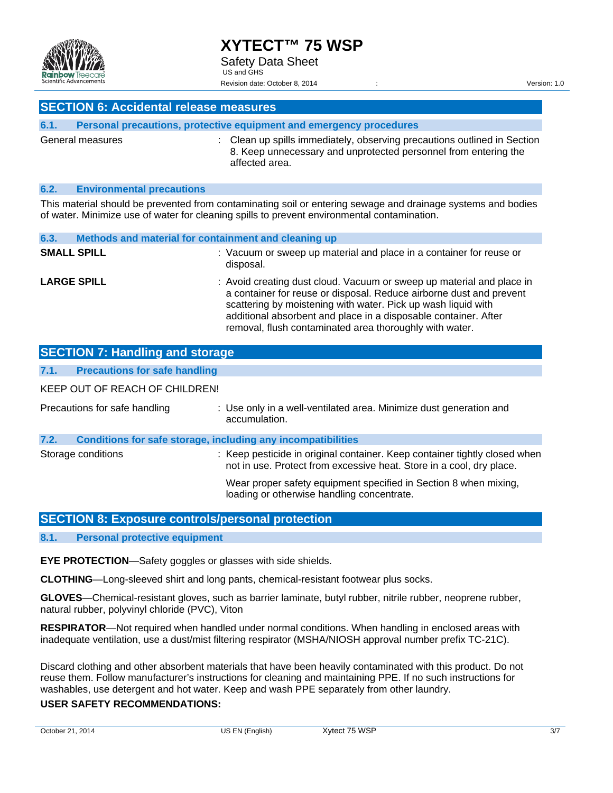

### **SECTION 6: Accidental release measures**

| 6.1. | Personal precautions, protective equipment and emergency procedures |  |                                                                                                                                                               |
|------|---------------------------------------------------------------------|--|---------------------------------------------------------------------------------------------------------------------------------------------------------------|
|      | General measures                                                    |  | : Clean up spills immediately, observing precautions outlined in Section<br>8. Keep unnecessary and unprotected personnel from entering the<br>affected area. |

#### **6.2. Environmental precautions**

This material should be prevented from contaminating soil or entering sewage and drainage systems and bodies of water. Minimize use of water for cleaning spills to prevent environmental contamination.

| 6.3.               | Methods and material for containment and cleaning up |                                                                                                                                                                                                                                                                                                                                             |  |
|--------------------|------------------------------------------------------|---------------------------------------------------------------------------------------------------------------------------------------------------------------------------------------------------------------------------------------------------------------------------------------------------------------------------------------------|--|
| <b>SMALL SPILL</b> |                                                      | : Vacuum or sweep up material and place in a container for reuse or<br>disposal.                                                                                                                                                                                                                                                            |  |
| <b>LARGE SPILL</b> |                                                      | : Avoid creating dust cloud. Vacuum or sweep up material and place in<br>a container for reuse or disposal. Reduce airborne dust and prevent<br>scattering by moistening with water. Pick up wash liquid with<br>additional absorbent and place in a disposable container. After<br>removal, flush contaminated area thoroughly with water. |  |

|      | <b>SECTION 7: Handling and storage</b>                              |                                                                                                                                                    |
|------|---------------------------------------------------------------------|----------------------------------------------------------------------------------------------------------------------------------------------------|
| 7.1. | <b>Precautions for safe handling</b>                                |                                                                                                                                                    |
|      | KEEP OUT OF REACH OF CHILDREN!                                      |                                                                                                                                                    |
|      | Precautions for safe handling                                       | : Use only in a well-ventilated area. Minimize dust generation and<br>accumulation.                                                                |
| 7.2. | <b>Conditions for safe storage, including any incompatibilities</b> |                                                                                                                                                    |
|      | Storage conditions                                                  | : Keep pesticide in original container. Keep container tightly closed when<br>not in use. Protect from excessive heat. Store in a cool, dry place. |
|      |                                                                     | Wear proper safety equipment specified in Section 8 when mixing,<br>loading or otherwise handling concentrate.                                     |

### **SECTION 8: Exposure controls/personal protection**

#### **8.1. Personal protective equipment**

**EYE PROTECTION**—Safety goggles or glasses with side shields.

**CLOTHING**—Long-sleeved shirt and long pants, chemical-resistant footwear plus socks.

**GLOVES**—Chemical-resistant gloves, such as barrier laminate, butyl rubber, nitrile rubber, neoprene rubber, natural rubber, polyvinyl chloride (PVC), Viton

**RESPIRATOR**—Not required when handled under normal conditions. When handling in enclosed areas with inadequate ventilation, use a dust/mist filtering respirator (MSHA/NIOSH approval number prefix TC-21C).

Discard clothing and other absorbent materials that have been heavily contaminated with this product. Do not reuse them. Follow manufacturer's instructions for cleaning and maintaining PPE. If no such instructions for washables, use detergent and hot water. Keep and wash PPE separately from other laundry.

#### **USER SAFETY RECOMMENDATIONS:**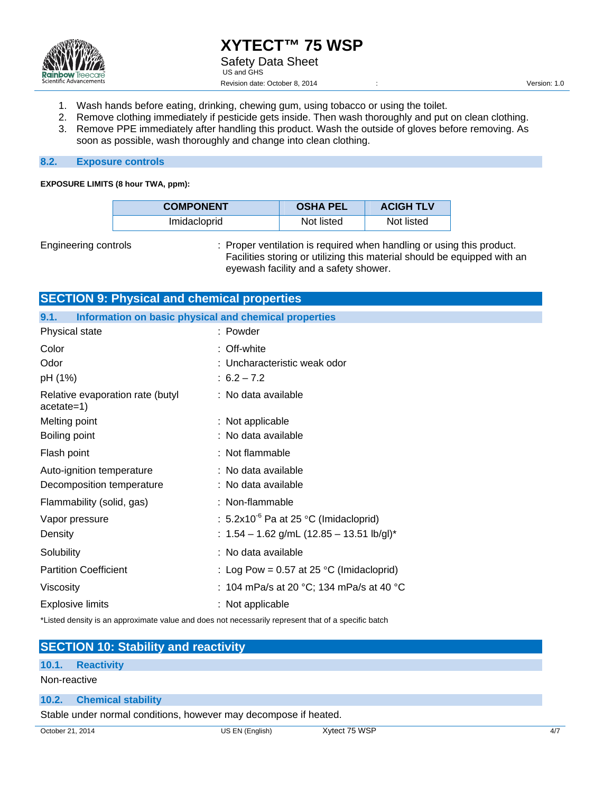

- 1. Wash hands before eating, drinking, chewing gum, using tobacco or using the toilet.
- 2. Remove clothing immediately if pesticide gets inside. Then wash thoroughly and put on clean clothing.
- 3. Remove PPE immediately after handling this product. Wash the outside of gloves before removing. As soon as possible, wash thoroughly and change into clean clothing.

#### **8.2. Exposure controls**

#### **EXPOSURE LIMITS (8 hour TWA, ppm):**

| <b>COMPONENT</b> | <b>OSHA PEL</b> | <b>ACIGH TLV</b> |
|------------------|-----------------|------------------|
| Imidacloprid     | Not listed      | Not listed       |

Engineering controls : Proper ventilation is required when handling or using this product. Facilities storing or utilizing this material should be equipped with an eyewash facility and a safety shower.

|                                                               | <b>SECTION 9: Physical and chemical properties</b> |  |  |  |  |
|---------------------------------------------------------------|----------------------------------------------------|--|--|--|--|
| 9.1.<br>Information on basic physical and chemical properties |                                                    |  |  |  |  |
| Physical state                                                | : Powder                                           |  |  |  |  |
| Color                                                         | : Off-white                                        |  |  |  |  |
| Odor                                                          | : Uncharacteristic weak odor                       |  |  |  |  |
| pH (1%)                                                       | $: 6.2 - 7.2$                                      |  |  |  |  |
| Relative evaporation rate (butyl<br>$acetate=1)$              | : No data available                                |  |  |  |  |
| Melting point                                                 | : Not applicable                                   |  |  |  |  |
| Boiling point                                                 | : No data available                                |  |  |  |  |
| Flash point                                                   | : Not flammable                                    |  |  |  |  |
| Auto-ignition temperature                                     | : No data available                                |  |  |  |  |
| Decomposition temperature                                     | : No data available                                |  |  |  |  |
| Flammability (solid, gas)                                     | : Non-flammable                                    |  |  |  |  |
| Vapor pressure                                                | : $5.2 \times 10^{-6}$ Pa at 25 °C (Imidacloprid)  |  |  |  |  |
| Density                                                       | : $1.54 - 1.62$ g/mL (12.85 - 13.51 lb/gl)*        |  |  |  |  |
| Solubility                                                    | : No data available                                |  |  |  |  |
| <b>Partition Coefficient</b>                                  | : Log Pow = $0.57$ at 25 °C (Imidacloprid)         |  |  |  |  |
| Viscosity                                                     | : 104 mPa/s at 20 °C; 134 mPa/s at 40 °C           |  |  |  |  |
| <b>Explosive limits</b>                                       | : Not applicable                                   |  |  |  |  |
|                                                               |                                                    |  |  |  |  |

\*Listed density is an approximate value and does not necessarily represent that of a specific batch

|                  | <b>SECTION 10: Stability and reactivity</b>                      |                 |               |  |
|------------------|------------------------------------------------------------------|-----------------|---------------|--|
|                  | 10.1. Reactivity                                                 |                 |               |  |
|                  | Non-reactive                                                     |                 |               |  |
|                  | 10.2. Chemical stability                                         |                 |               |  |
|                  | Stable under normal conditions, however may decompose if heated. |                 |               |  |
| October 21, 2014 |                                                                  | US EN (English) | Xytect 75 WSP |  |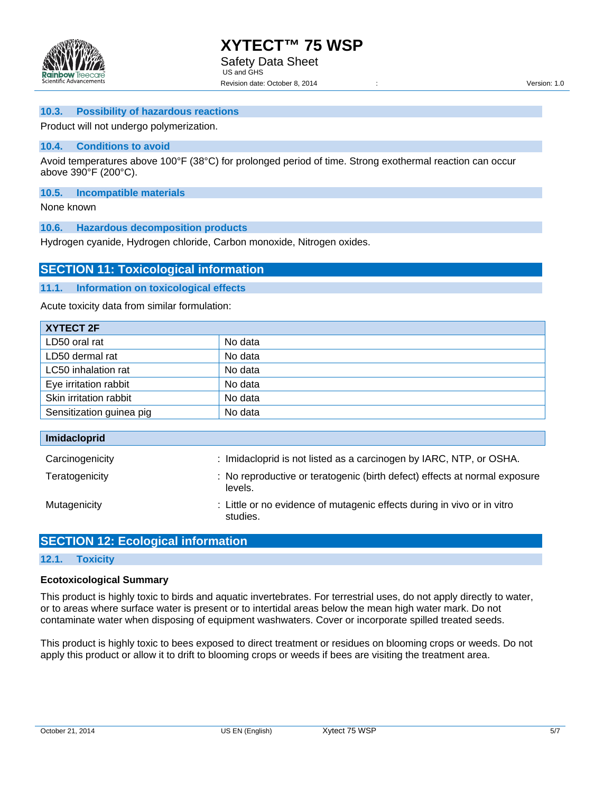

#### **10.3. Possibility of hazardous reactions**

Product will not undergo polymerization.

#### **10.4. Conditions to avoid**

Avoid temperatures above 100°F (38°C) for prolonged period of time. Strong exothermal reaction can occur above 390°F (200°C).

#### **10.5. Incompatible materials**

None known

**10.6. Hazardous decomposition products** 

Hydrogen cyanide, Hydrogen chloride, Carbon monoxide, Nitrogen oxides.

### **SECTION 11: Toxicological information**

#### **11.1. Information on toxicological effects**

Acute toxicity data from similar formulation:

| XYTECT 2F                |         |
|--------------------------|---------|
| LD50 oral rat            | No data |
| LD50 dermal rat          | No data |
| LC50 inhalation rat      | No data |
| Eye irritation rabbit    | No data |
| Skin irritation rabbit   | No data |
| Sensitization guinea pig | No data |

| <b>Imidacloprid</b> |                                                                                       |
|---------------------|---------------------------------------------------------------------------------------|
| Carcinogenicity     | : Imidacloprid is not listed as a carcinogen by IARC, NTP, or OSHA.                   |
| Teratogenicity      | : No reproductive or teratogenic (birth defect) effects at normal exposure<br>levels. |
| Mutagenicity        | : Little or no evidence of mutagenic effects during in vivo or in vitro<br>studies.   |

### **SECTION 12: Ecological information**

#### **12.1. Toxicity**

#### **Ecotoxicological Summary**

This product is highly toxic to birds and aquatic invertebrates. For terrestrial uses, do not apply directly to water, or to areas where surface water is present or to intertidal areas below the mean high water mark. Do not contaminate water when disposing of equipment washwaters. Cover or incorporate spilled treated seeds.

This product is highly toxic to bees exposed to direct treatment or residues on blooming crops or weeds. Do not apply this product or allow it to drift to blooming crops or weeds if bees are visiting the treatment area.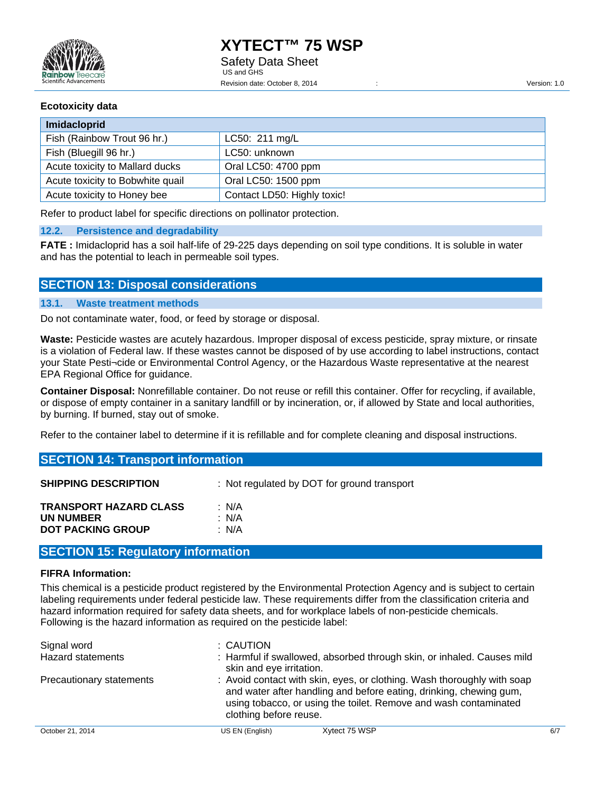### **Ecotoxicity data**

| Imidacloprid                     |                             |  |
|----------------------------------|-----------------------------|--|
| Fish (Rainbow Trout 96 hr.)      | LC50: 211 mg/L              |  |
| Fish (Bluegill 96 hr.)           | LC50: unknown               |  |
| Acute toxicity to Mallard ducks  | Oral LC50: 4700 ppm         |  |
| Acute toxicity to Bobwhite quail | Oral LC50: 1500 ppm         |  |
| Acute toxicity to Honey bee      | Contact LD50: Highly toxic! |  |

Refer to product label for specific directions on pollinator protection.

#### **12.2. Persistence and degradability**

**FATE :** Imidacloprid has a soil half-life of 29-225 days depending on soil type conditions. It is soluble in water and has the potential to leach in permeable soil types.

### **SECTION 13: Disposal considerations**

### **13.1. Waste treatment methods**

Do not contaminate water, food, or feed by storage or disposal.

**Waste:** Pesticide wastes are acutely hazardous. Improper disposal of excess pesticide, spray mixture, or rinsate is a violation of Federal law. If these wastes cannot be disposed of by use according to label instructions, contact your State Pesti¬cide or Environmental Control Agency, or the Hazardous Waste representative at the nearest EPA Regional Office for guidance.

**Container Disposal:** Nonrefillable container. Do not reuse or refill this container. Offer for recycling, if available, or dispose of empty container in a sanitary landfill or by incineration, or, if allowed by State and local authorities, by burning. If burned, stay out of smoke.

Refer to the container label to determine if it is refillable and for complete cleaning and disposal instructions.

| <b>SECTION 14: Transport information</b>                               |                                             |  |
|------------------------------------------------------------------------|---------------------------------------------|--|
| <b>SHIPPING DESCRIPTION</b>                                            | : Not regulated by DOT for ground transport |  |
| <b>TRANSPORT HAZARD CLASS</b><br>UN NUMBER<br><b>DOT PACKING GROUP</b> | : N/A<br>: N/A<br>: $N/A$                   |  |

### **SECTION 15: Regulatory information**

#### **FIFRA Information:**

This chemical is a pesticide product registered by the Environmental Protection Agency and is subject to certain labeling requirements under federal pesticide law. These requirements differ from the classification criteria and hazard information required for safety data sheets, and for workplace labels of non-pesticide chemicals. Following is the hazard information as required on the pesticide label:

| Signal word<br>Hazard statements | : CAUTION<br>skin and eye irritation.                                                                                                                                                                                                       | : Harmful if swallowed, absorbed through skin, or inhaled. Causes mild |     |
|----------------------------------|---------------------------------------------------------------------------------------------------------------------------------------------------------------------------------------------------------------------------------------------|------------------------------------------------------------------------|-----|
| Precautionary statements         | : Avoid contact with skin, eyes, or clothing. Wash thoroughly with soap<br>and water after handling and before eating, drinking, chewing gum,<br>using tobacco, or using the toilet. Remove and wash contaminated<br>clothing before reuse. |                                                                        |     |
| October 21, 2014                 | US EN (English)                                                                                                                                                                                                                             | Xytect 75 WSP                                                          | 6/7 |